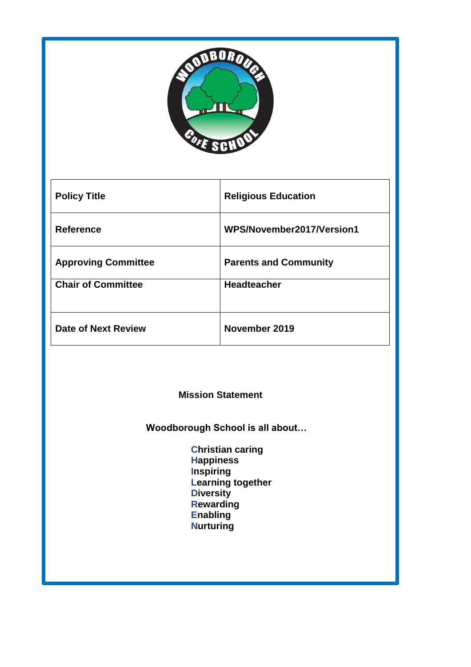

| <b>Policy Title</b>        | <b>Religious Education</b>   |
|----------------------------|------------------------------|
| <b>Reference</b>           | WPS/November2017/Version1    |
| <b>Approving Committee</b> | <b>Parents and Community</b> |
| <b>Chair of Committee</b>  | <b>Headteacher</b>           |
| Date of Next Review        | November 2019                |

**Mission Statement**

 **Woodborough School is all about…**

 **Christian caring Happiness Inspiring Learning together Diversity Rewarding Enabling Nurturing**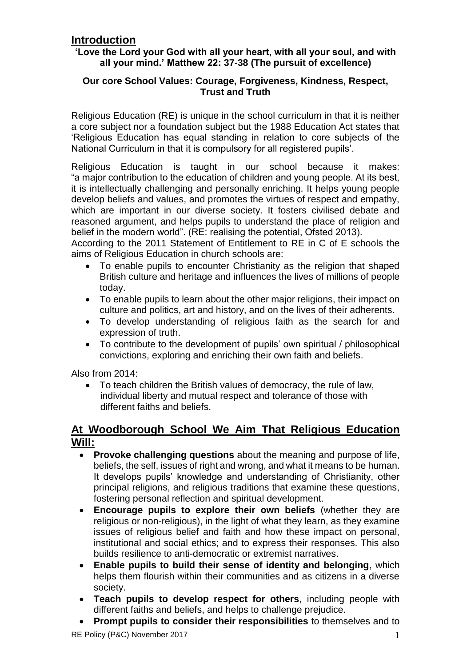### **Introduction**

#### **'Love the Lord your God with all your heart, with all your soul, and with all your mind.' Matthew 22: 37-38 (The pursuit of excellence)**

#### **Our core School Values: Courage, Forgiveness, Kindness, Respect, Trust and Truth**

Religious Education (RE) is unique in the school curriculum in that it is neither a core subject nor a foundation subject but the 1988 Education Act states that 'Religious Education has equal standing in relation to core subjects of the National Curriculum in that it is compulsory for all registered pupils'.

Religious Education is taught in our school because it makes: "a major contribution to the education of children and young people. At its best, it is intellectually challenging and personally enriching. It helps young people develop beliefs and values, and promotes the virtues of respect and empathy, which are important in our diverse society. It fosters civilised debate and reasoned argument, and helps pupils to understand the place of religion and belief in the modern world". (RE: realising the potential, Ofsted 2013).

According to the 2011 Statement of Entitlement to RE in C of E schools the aims of Religious Education in church schools are:

- To enable pupils to encounter Christianity as the religion that shaped British culture and heritage and influences the lives of millions of people today.
- To enable pupils to learn about the other major religions, their impact on culture and politics, art and history, and on the lives of their adherents.
- To develop understanding of religious faith as the search for and expression of truth.
- To contribute to the development of pupils' own spiritual / philosophical convictions, exploring and enriching their own faith and beliefs.

Also from 2014:

 To teach children the British values of democracy, the rule of law, individual liberty and mutual respect and tolerance of those with different faiths and beliefs.

#### **At Woodborough School We Aim That Religious Education Will:**

- **Provoke challenging questions** about the meaning and purpose of life, beliefs, the self, issues of right and wrong, and what it means to be human. It develops pupils' knowledge and understanding of Christianity, other principal religions, and religious traditions that examine these questions, fostering personal reflection and spiritual development.
- **Encourage pupils to explore their own beliefs** (whether they are religious or non-religious), in the light of what they learn, as they examine issues of religious belief and faith and how these impact on personal, institutional and social ethics; and to express their responses. This also builds resilience to anti-democratic or extremist narratives.
- **Enable pupils to build their sense of identity and belonging**, which helps them flourish within their communities and as citizens in a diverse society.
- **Teach pupils to develop respect for others**, including people with different faiths and beliefs, and helps to challenge prejudice.
- **Prompt pupils to consider their responsibilities** to themselves and to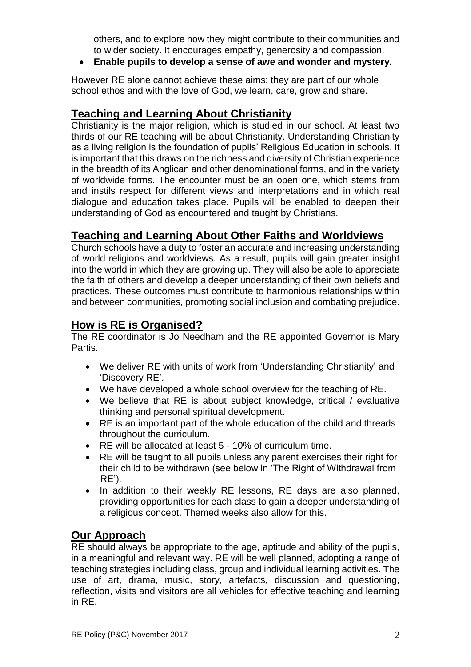others, and to explore how they might contribute to their communities and to wider society. It encourages empathy, generosity and compassion.

**Enable pupils to develop a sense of awe and wonder and mystery.**

However RE alone cannot achieve these aims; they are part of our whole school ethos and with the love of God, we learn, care, grow and share.

### **Teaching and Learning About Christianity**

Christianity is the major religion, which is studied in our school. At least two thirds of our RE teaching will be about Christianity. Understanding Christianity as a living religion is the foundation of pupils' Religious Education in schools. It is important that this draws on the richness and diversity of Christian experience in the breadth of its Anglican and other denominational forms, and in the variety of worldwide forms. The encounter must be an open one, which stems from and instils respect for different views and interpretations and in which real dialogue and education takes place. Pupils will be enabled to deepen their understanding of God as encountered and taught by Christians.

# **Teaching and Learning About Other Faiths and Worldviews**

Church schools have a duty to foster an accurate and increasing understanding of world religions and worldviews. As a result, pupils will gain greater insight into the world in which they are growing up. They will also be able to appreciate the faith of others and develop a deeper understanding of their own beliefs and practices. These outcomes must contribute to harmonious relationships within and between communities, promoting social inclusion and combating prejudice.

# **How is RE is Organised?**

The RE coordinator is Jo Needham and the RE appointed Governor is Mary Partis.

- We deliver RE with units of work from 'Understanding Christianity' and 'Discovery RE'.
- We have developed a whole school overview for the teaching of RE.
- We believe that RE is about subject knowledge, critical / evaluative thinking and personal spiritual development.
- RE is an important part of the whole education of the child and threads throughout the curriculum.
- RE will be allocated at least 5 10% of curriculum time.
- RE will be taught to all pupils unless any parent exercises their right for their child to be withdrawn (see below in 'The Right of Withdrawal from RE').
- In addition to their weekly RE lessons, RE days are also planned, providing opportunities for each class to gain a deeper understanding of a religious concept. Themed weeks also allow for this.

# **Our Approach**

RE should always be appropriate to the age, aptitude and ability of the pupils, in a meaningful and relevant way. RE will be well planned, adopting a range of teaching strategies including class, group and individual learning activities. The use of art, drama, music, story, artefacts, discussion and questioning, reflection, visits and visitors are all vehicles for effective teaching and learning in RE.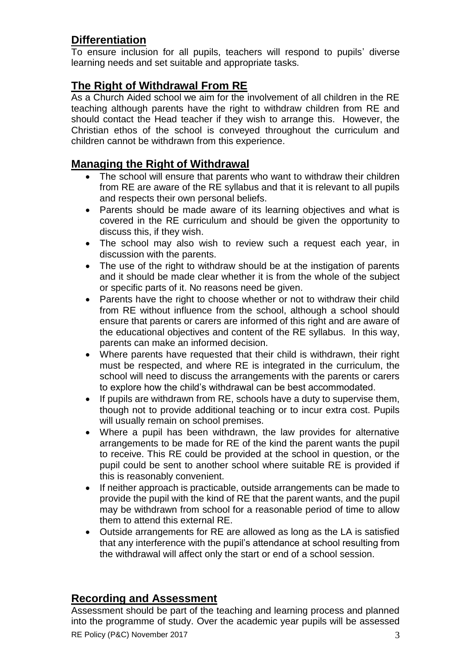# **Differentiation**

To ensure inclusion for all pupils, teachers will respond to pupils' diverse learning needs and set suitable and appropriate tasks.

# **The Right of Withdrawal From RE**

As a Church Aided school we aim for the involvement of all children in the RE teaching although parents have the right to withdraw children from RE and should contact the Head teacher if they wish to arrange this. However, the Christian ethos of the school is conveyed throughout the curriculum and children cannot be withdrawn from this experience.

### **Managing the Right of Withdrawal**

- The school will ensure that parents who want to withdraw their children from RE are aware of the RE syllabus and that it is relevant to all pupils and respects their own personal beliefs.
- Parents should be made aware of its learning objectives and what is covered in the RE curriculum and should be given the opportunity to discuss this, if they wish.
- The school may also wish to review such a request each year, in discussion with the parents.
- The use of the right to withdraw should be at the instigation of parents and it should be made clear whether it is from the whole of the subject or specific parts of it. No reasons need be given.
- Parents have the right to choose whether or not to withdraw their child from RE without influence from the school, although a school should ensure that parents or carers are informed of this right and are aware of the educational objectives and content of the RE syllabus. In this way, parents can make an informed decision.
- Where parents have requested that their child is withdrawn, their right must be respected, and where RE is integrated in the curriculum, the school will need to discuss the arrangements with the parents or carers to explore how the child's withdrawal can be best accommodated.
- If pupils are withdrawn from RE, schools have a duty to supervise them, though not to provide additional teaching or to incur extra cost. Pupils will usually remain on school premises.
- Where a pupil has been withdrawn, the law provides for alternative arrangements to be made for RE of the kind the parent wants the pupil to receive. This RE could be provided at the school in question, or the pupil could be sent to another school where suitable RE is provided if this is reasonably convenient.
- If neither approach is practicable, outside arrangements can be made to provide the pupil with the kind of RE that the parent wants, and the pupil may be withdrawn from school for a reasonable period of time to allow them to attend this external RE.
- Outside arrangements for RE are allowed as long as the LA is satisfied that any interference with the pupil's attendance at school resulting from the withdrawal will affect only the start or end of a school session.

# **Recording and Assessment**

RE Policy (P&C) November 2017 3 Assessment should be part of the teaching and learning process and planned into the programme of study. Over the academic year pupils will be assessed